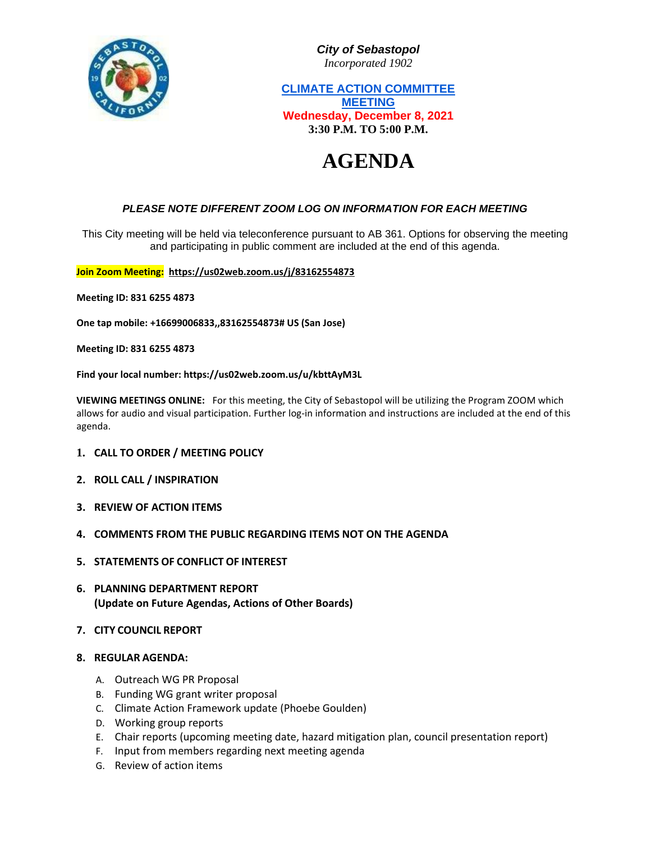

*City of Sebastopol Incorporated 1902*

**CLIMATE ACTION COMMITTEE MEETING Wednesday, December 8, 2021 3:30 P.M. TO 5:00 P.M.**

# **AGENDA**

## *PLEASE NOTE DIFFERENT ZOOM LOG ON INFORMATION FOR EACH MEETING*

This City meeting will be held via teleconference pursuant to AB 361. Options for observing the meeting and participating in public comment are included at the end of this agenda.

#### **Join Zoom Meeting: <https://us02web.zoom.us/j/83162554873>**

**Meeting ID: 831 6255 4873**

**One tap mobile: +16699006833,,83162554873# US (San Jose)**

**Meeting ID: 831 6255 4873**

**Find your local number: https://us02web.zoom.us/u/kbttAyM3L**

**VIEWING MEETINGS ONLINE:** For this meeting, the City of Sebastopol will be utilizing the Program ZOOM which allows for audio and visual participation. Further log-in information and instructions are included at the end of this agenda.

- **1. CALL TO ORDER / MEETING POLICY**
- **2. ROLL CALL / INSPIRATION**
- **3. REVIEW OF ACTION ITEMS**
- **4. COMMENTS FROM THE PUBLIC REGARDING ITEMS NOT ON THE AGENDA**
- **5. STATEMENTS OF CONFLICT OF INTEREST**
- **6. PLANNING DEPARTMENT REPORT (Update on Future Agendas, Actions of Other Boards)**
- **7. CITY COUNCIL REPORT**
- **8. REGULAR AGENDA:**
	- A. Outreach WG PR Proposal
	- B. Funding WG grant writer proposal
	- C. Climate Action Framework update (Phoebe Goulden)
	- D. Working group reports
	- E. Chair reports (upcoming meeting date, hazard mitigation plan, council presentation report)
	- F. Input from members regarding next meeting agenda
	- G. Review of action items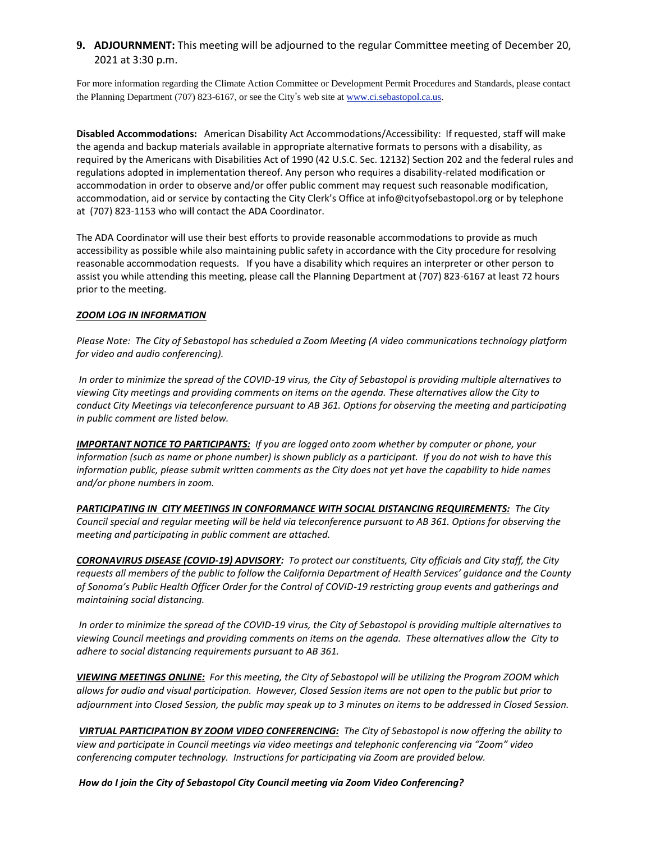### **9. ADJOURNMENT:** This meeting will be adjourned to the regular Committee meeting of December 20, 2021 at 3:30 p.m.

For more information regarding the Climate Action Committee or Development Permit Procedures and Standards, please contact the Planning Department (707) 823-6167, or see the City's web site at [www.ci.sebastopol.ca.us.](http://www.ci.sebastopol.ca.us/)

**Disabled Accommodations:** American Disability Act Accommodations/Accessibility: If requested, staff will make the agenda and backup materials available in appropriate alternative formats to persons with a disability, as required by the Americans with Disabilities Act of 1990 (42 U.S.C. Sec. 12132) Section 202 and the federal rules and regulations adopted in implementation thereof. Any person who requires a disability-related modification or accommodation in order to observe and/or offer public comment may request such reasonable modification, accommodation, aid or service by contacting the City Clerk's Office at info@cityofsebastopol.org or by telephone at (707) 823-1153 who will contact the ADA Coordinator.

The ADA Coordinator will use their best efforts to provide reasonable accommodations to provide as much accessibility as possible while also maintaining public safety in accordance with the City procedure for resolving reasonable accommodation requests. If you have a disability which requires an interpreter or other person to assist you while attending this meeting, please call the Planning Department at (707) 823-6167 at least 72 hours prior to the meeting.

#### *ZOOM LOG IN INFORMATION*

*Please Note: The City of Sebastopol has scheduled a Zoom Meeting (A video communications technology platform for video and audio conferencing).*

*In order to minimize the spread of the COVID-19 virus, the City of Sebastopol is providing multiple alternatives to viewing City meetings and providing comments on items on the agenda. These alternatives allow the City to conduct City Meetings via teleconference pursuant to AB 361. Options for observing the meeting and participating in public comment are listed below.* 

*IMPORTANT NOTICE TO PARTICIPANTS: If you are logged onto zoom whether by computer or phone, your information (such as name or phone number) is shown publicly as a participant. If you do not wish to have this information public, please submit written comments as the City does not yet have the capability to hide names and/or phone numbers in zoom.*

*PARTICIPATING IN CITY MEETINGS IN CONFORMANCE WITH SOCIAL DISTANCING REQUIREMENTS: The City Council special and regular meeting will be held via teleconference pursuant to AB 361. Options for observing the meeting and participating in public comment are attached.*

*CORONAVIRUS DISEASE (COVID-19) ADVISORY: To protect our constituents, City officials and City staff, the City requests all members of the public to follow the California Department of Health Services' guidance and the County of Sonoma's Public Health Officer Order for the Control of COVID-19 restricting group events and gatherings and maintaining social distancing.* 

*In order to minimize the spread of the COVID-19 virus, the City of Sebastopol is providing multiple alternatives to viewing Council meetings and providing comments on items on the agenda. These alternatives allow the City to adhere to social distancing requirements pursuant to AB 361.*

*VIEWING MEETINGS ONLINE: For this meeting, the City of Sebastopol will be utilizing the Program ZOOM which allows for audio and visual participation. However, Closed Session items are not open to the public but prior to adjournment into Closed Session, the public may speak up to 3 minutes on items to be addressed in Closed Session.*

*VIRTUAL PARTICIPATION BY ZOOM VIDEO CONFERENCING: The City of Sebastopol is now offering the ability to view and participate in Council meetings via video meetings and telephonic conferencing via "Zoom" video conferencing computer technology. Instructions for participating via Zoom are provided below.* 

*How do I join the City of Sebastopol City Council meeting via Zoom Video Conferencing?*